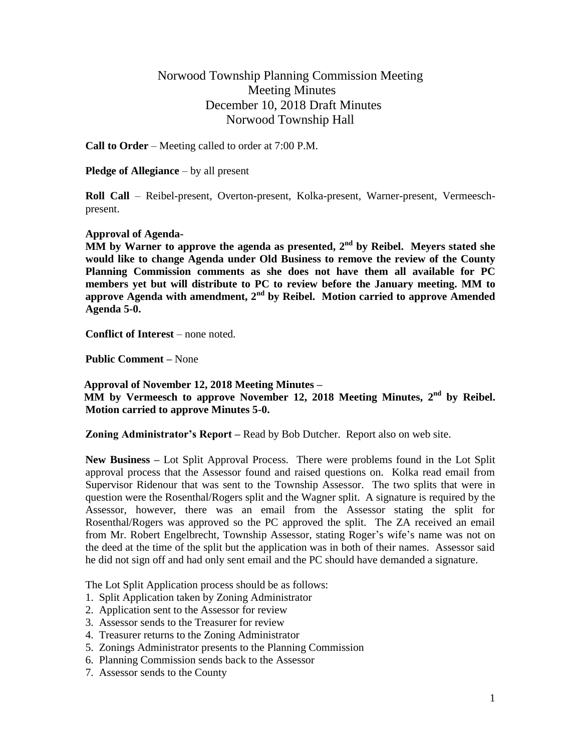## Norwood Township Planning Commission Meeting Meeting Minutes December 10, 2018 Draft Minutes Norwood Township Hall

**Call to Order** – Meeting called to order at 7:00 P.M.

**Pledge of Allegiance** – by all present

**Roll Call** – Reibel-present, Overton-present, Kolka-present, Warner-present, Vermeeschpresent.

## **Approval of Agenda-**

MM by Warner to approve the agenda as presented, 2<sup>nd</sup> by Reibel. Meyers stated she **would like to change Agenda under Old Business to remove the review of the County Planning Commission comments as she does not have them all available for PC members yet but will distribute to PC to review before the January meeting. MM to approve Agenda with amendment, 2nd by Reibel. Motion carried to approve Amended Agenda 5-0.**

**Conflict of Interest** – none noted.

**Public Comment –** None

 **Approval of November 12, 2018 Meeting Minutes – MM by Vermeesch to approve November 12, 2018 Meeting Minutes, 2nd by Reibel. Motion carried to approve Minutes 5-0.**

**Zoning Administrator's Report –** Read by Bob Dutcher. Report also on web site.

**New Business –** Lot Split Approval Process. There were problems found in the Lot Split approval process that the Assessor found and raised questions on. Kolka read email from Supervisor Ridenour that was sent to the Township Assessor. The two splits that were in question were the Rosenthal/Rogers split and the Wagner split. A signature is required by the Assessor, however, there was an email from the Assessor stating the split for Rosenthal/Rogers was approved so the PC approved the split. The ZA received an email from Mr. Robert Engelbrecht, Township Assessor, stating Roger's wife's name was not on the deed at the time of the split but the application was in both of their names. Assessor said he did not sign off and had only sent email and the PC should have demanded a signature.

The Lot Split Application process should be as follows:

- 1. Split Application taken by Zoning Administrator
- 2. Application sent to the Assessor for review
- 3. Assessor sends to the Treasurer for review
- 4. Treasurer returns to the Zoning Administrator
- 5. Zonings Administrator presents to the Planning Commission
- 6. Planning Commission sends back to the Assessor
- 7. Assessor sends to the County